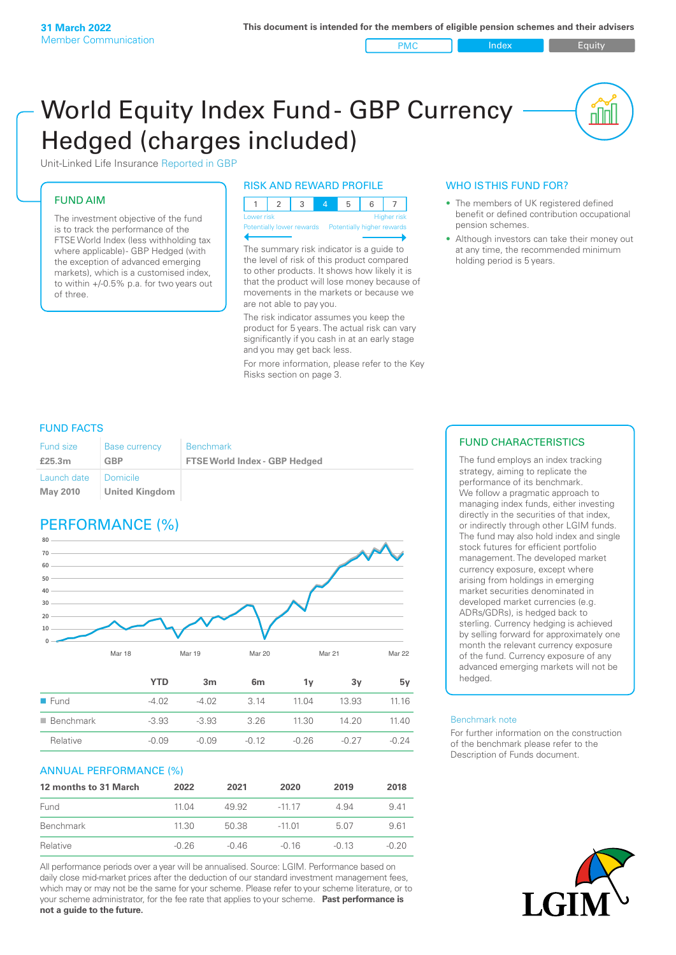#### PMC Index Index Equity

nnl

# World Equity Index Fund- GBP Currency Hedged (charges included)



## FUND AIM

The investment objective of the fund is to track the performance of the FTSE World Index (less withholding tax where applicable) - GBP Hedged (with the exception of advanced emerging markets), which is a customised index, to within +/‑0.5% p.a. for two years out of three.

### RISK AND REWARD PROFILE

| Lower risk |  |  | Higher risk |
|------------|--|--|-------------|

Potentially lower rewards

The summary risk indicator is a guide to the level of risk of this product compared to other products. It shows how likely it is that the product will lose money because of movements in the markets or because we are not able to pay you.

The risk indicator assumes you keep the product for 5 years. The actual risk can vary significantly if you cash in at an early stage and you may get back less.

For more information, please refer to the Key Risks section on page 3.

### WHO IS THIS FUND FOR?

- The members of UK registered defined benefit or defined contribution occupational pension schemes.
- Although investors can take their money out at any time, the recommended minimum holding period is 5 years.

### FUND FACTS

| <b>Fund size</b>        | <b>Base currency</b>         | <b>Benchmark</b>                     |
|-------------------------|------------------------------|--------------------------------------|
| £25.3m                  | GBP                          | <b>FTSE World Index - GBP Hedged</b> |
| Launch date<br>May 2010 | I Domicile<br>United Kingdom |                                      |

# PERFORMANCE (%)



|                          | YTD     | 3m      | 6 <sub>m</sub> | Ί٧      | З٧      | 5v      |
|--------------------------|---------|---------|----------------|---------|---------|---------|
| $\blacksquare$ Fund      | -4.02   | $-4.02$ | 3 14           | 11.04   | 13.93   | 11 16   |
| $\blacksquare$ Benchmark | $-3.93$ | $-3.93$ | 3.26           | 11.30   | 1420    | 1140    |
| Relative                 | $-0.09$ | $-0.09$ | $-0.12$        | $-0.26$ | $-0.27$ | $-0.24$ |
|                          |         |         |                |         |         |         |

### ANNUAL PERFORMANCE (%)

| 12 months to 31 March | 2022    | 2021    | 2020     | 2019    | 2018    |
|-----------------------|---------|---------|----------|---------|---------|
| Fund                  | 11 04   | 49.92   | $-1117$  | 4.94    | 941     |
| Benchmark             | 11.30   | 50.38   | $-11.01$ | 5.07    | 9.61    |
| Relative              | $-0.26$ | $-0.46$ | -0.16    | $-0.13$ | $-0.20$ |

All performance periods over a year will be annualised. Source: LGIM. Performance based on daily close mid-market prices after the deduction of our standard investment management fees, which may or may not be the same for your scheme. Please refer to your scheme literature, or to your scheme administrator, for the fee rate that applies to your scheme. **Past performance is not a guide to the future.**

### FUND CHARACTERISTICS

The fund employs an index tracking strategy, aiming to replicate the performance of its benchmark. We follow a pragmatic approach to managing index funds, either investing directly in the securities of that index, or indirectly through other LGIM funds. The fund may also hold index and single stock futures for efficient portfolio management. The developed market currency exposure, except where arising from holdings in emerging market securities denominated in developed market currencies (e.g. ADRs/GDRs), is hedged back to sterling. Currency hedging is achieved by selling forward for approximately one month the relevant currency exposure of the fund. Currency exposure of any advanced emerging markets will not be hedged.

#### Benchmark note

For further information on the construction of the benchmark please refer to the Description of Funds document.

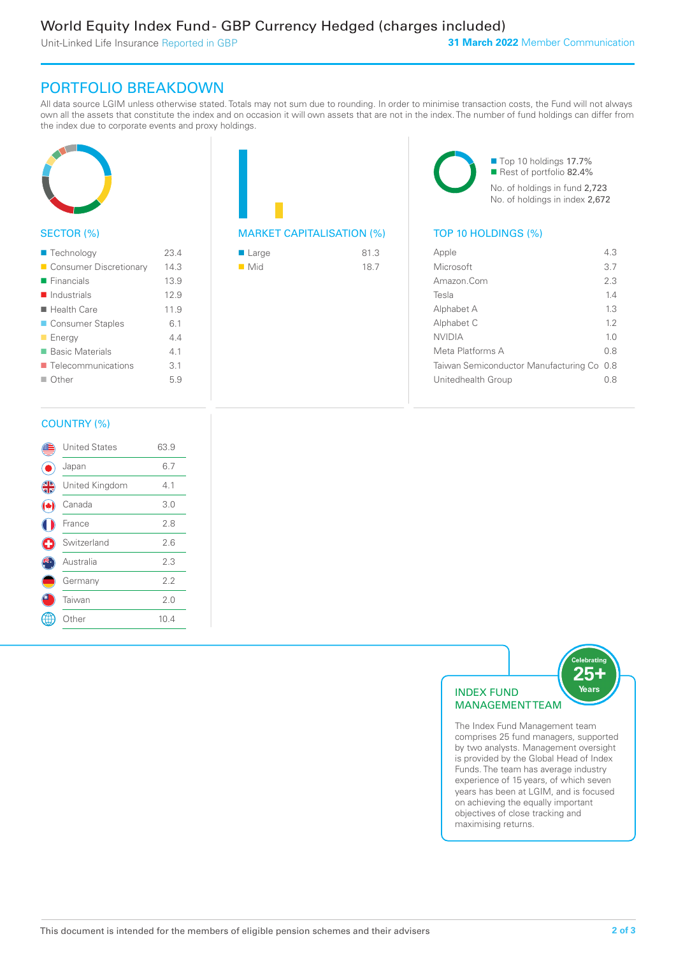Unit-Linked Life Insurance Reported in GBP

# PORTFOLIO BREAKDOWN

All data source LGIM unless otherwise stated. Totals may not sum due to rounding. In order to minimise transaction costs, the Fund will not always own all the assets that constitute the index and on occasion it will own assets that are not in the index. The number of fund holdings can differ from the index due to corporate events and proxy holdings.



### SECTOR (%)

| ■ Technology               | 234  |
|----------------------------|------|
| Consumer Discretionary     | 14.3 |
| $\blacksquare$ Financials  | 13.9 |
| $\blacksquare$ Industrials | 12.9 |
| ■ Health Care              | 11.9 |
| ■ Consumer Staples         | 6.1  |
| <b>Energy</b>              | 44   |
| ■ Basic Materials          | 41   |
| ■ Telecommunications       | 3.1  |
| ■ Other                    | 5.9  |
|                            |      |

| <b>MARKET CAPITALISATION (%)</b> |  |
|----------------------------------|--|

| ■ Large            | 81.3 |
|--------------------|------|
| $\blacksquare$ Mid | 18.7 |

■ Top 10 holdings 17.7% Rest of portfolio 82.4% No. of holdings in fund 2,723 No. of holdings in index 2,672

### TOP 10 HOLDINGS (%)

| Apple                                     | 43             |
|-------------------------------------------|----------------|
| Microsoft                                 | 37             |
| Amazon Com                                | 2.3            |
| Tesla                                     | 14             |
| Alphabet A                                | 13             |
| Alphabet C                                | 12             |
| <b>NVIDIA</b>                             | 1 <sub>0</sub> |
| Meta Platforms A                          | 0 S            |
| Taiwan Semiconductor Manufacturing Co 0.8 |                |
| Unitedhealth Group                        | 0 S            |
|                                           |                |

### COUNTRY (%)

|                | <b>United States</b> | 63.9 |  |
|----------------|----------------------|------|--|
|                | Japan                | 6.7  |  |
| $\frac{4}{12}$ | United Kingdom       | 4.1  |  |
|                | Canada               | 3.0  |  |
|                | France               | 2.8  |  |
| Œ              | Switzerland          | 2.6  |  |
|                | Australia            | 2.3  |  |
|                | Germany              | 2.2  |  |
|                | Taiwan               | 2.0  |  |
|                | Other                | 10.4 |  |
|                |                      |      |  |



The Index Fund Management team comprises 25 fund managers, supported by two analysts. Management oversight is provided by the Global Head of Index Funds. The team has average industry experience of 15 years, of which seven years has been at LGIM, and is focused on achieving the equally important objectives of close tracking and maximising returns.